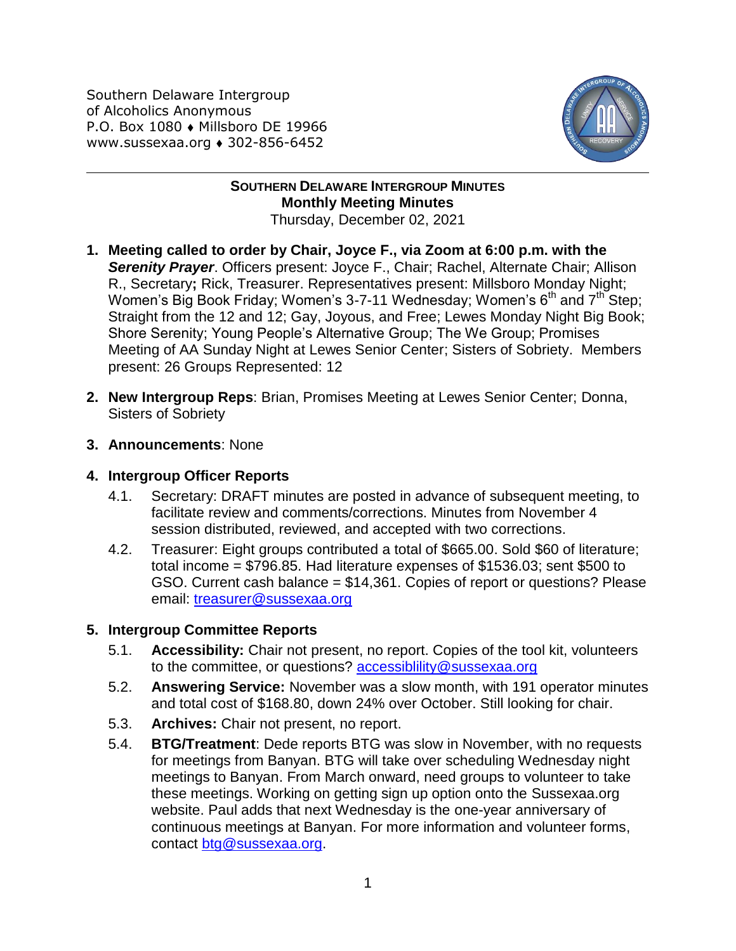Southern Delaware Intergroup of Alcoholics Anonymous P.O. Box 1080 • Millsboro DE 19966 www.sussexaa.org • 302-856-6452



## **SOUTHERN DELAWARE INTERGROUP MINUTES Monthly Meeting Minutes** Thursday, December 02, 2021

- **1. Meeting called to order by Chair, Joyce F., via Zoom at 6:00 p.m. with the**  *Serenity Prayer*. Officers present: Joyce F., Chair; Rachel, Alternate Chair; Allison R., Secretary**;** Rick, Treasurer. Representatives present: Millsboro Monday Night; Women's Big Book Friday; Women's 3-7-11 Wednesday; Women's  $6<sup>th</sup>$  and  $7<sup>th</sup>$  Step; Straight from the 12 and 12; Gay, Joyous, and Free; Lewes Monday Night Big Book; Shore Serenity; Young People's Alternative Group; The We Group; Promises Meeting of AA Sunday Night at Lewes Senior Center; Sisters of Sobriety. Members present: 26 Groups Represented: 12
- **2. New Intergroup Reps**: Brian, Promises Meeting at Lewes Senior Center; Donna, Sisters of Sobriety
- **3. Announcements**: None

## **4. Intergroup Officer Reports**

- 4.1. Secretary: DRAFT minutes are posted in advance of subsequent meeting, to facilitate review and comments/corrections. Minutes from November 4 session distributed, reviewed, and accepted with two corrections.
- 4.2. Treasurer: Eight groups contributed a total of \$665.00. Sold \$60 of literature; total income = \$796.85. Had literature expenses of \$1536.03; sent \$500 to GSO. Current cash balance = \$14,361. Copies of report or questions? Please email: [treasurer@sussexaa.org](mailto:treasurer@sussexaa.org)

## **5. Intergroup Committee Reports**

- 5.1. **Accessibility:** Chair not present, no report. Copies of the tool kit, volunteers to the committee, or questions? accessibiliity@sussexaa.org
- 5.2. **Answering Service:** November was a slow month, with 191 operator minutes and total cost of \$168.80, down 24% over October. Still looking for chair.
- 5.3. **Archives:** Chair not present, no report.
- 5.4. **BTG/Treatment**: Dede reports BTG was slow in November, with no requests for meetings from Banyan. BTG will take over scheduling Wednesday night meetings to Banyan. From March onward, need groups to volunteer to take these meetings. Working on getting sign up option onto the Sussexaa.org website. Paul adds that next Wednesday is the one-year anniversary of continuous meetings at Banyan. For more information and volunteer forms, contact [btg@sussexaa.org.](mailto:btg@sussexaa.org)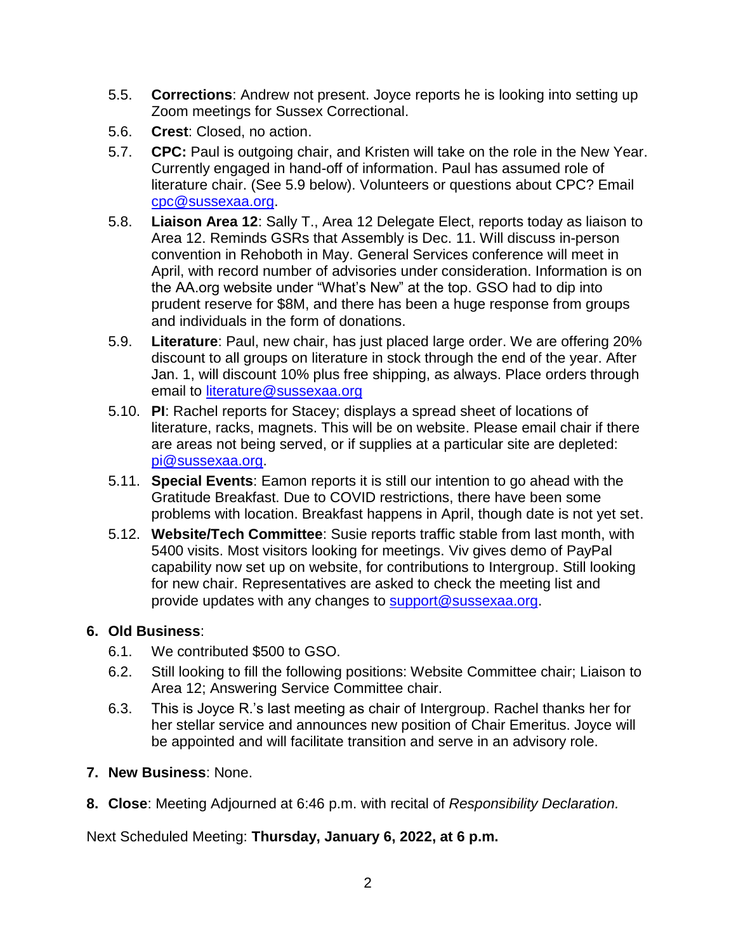- 5.5. **Corrections**: Andrew not present. Joyce reports he is looking into setting up Zoom meetings for Sussex Correctional.
- 5.6. **Crest**: Closed, no action.
- 5.7. **CPC:** Paul is outgoing chair, and Kristen will take on the role in the New Year. Currently engaged in hand-off of information. Paul has assumed role of literature chair. (See 5.9 below). Volunteers or questions about CPC? Email [cpc@sussexaa.org.](mailto:cpc@sussexaa.org)
- 5.8. **Liaison Area 12**: Sally T., Area 12 Delegate Elect, reports today as liaison to Area 12. Reminds GSRs that Assembly is Dec. 11. Will discuss in-person convention in Rehoboth in May. General Services conference will meet in April, with record number of advisories under consideration. Information is on the AA.org website under "What's New" at the top. GSO had to dip into prudent reserve for \$8M, and there has been a huge response from groups and individuals in the form of donations.
- 5.9. **Literature**: Paul, new chair, has just placed large order. We are offering 20% discount to all groups on literature in stock through the end of the year. After Jan. 1, will discount 10% plus free shipping, as always. Place orders through email to [literature@sussexaa.org](mailto:literature@sussexaa.org)
- 5.10. **PI**: Rachel reports for Stacey; displays a spread sheet of locations of literature, racks, magnets. This will be on website. Please email chair if there are areas not being served, or if supplies at a particular site are depleted: [pi@sussexaa.org.](mailto:pi@sussexaa.org)
- 5.11. **Special Events**: Eamon reports it is still our intention to go ahead with the Gratitude Breakfast. Due to COVID restrictions, there have been some problems with location. Breakfast happens in April, though date is not yet set.
- 5.12. **Website/Tech Committee**: Susie reports traffic stable from last month, with 5400 visits. Most visitors looking for meetings. Viv gives demo of PayPal capability now set up on website, for contributions to Intergroup. Still looking for new chair. Representatives are asked to check the meeting list and provide updates with any changes to [support@sussexaa.org.](mailto:support@sussexaa.org)

## **6. Old Business**:

- 6.1. We contributed \$500 to GSO.
- 6.2. Still looking to fill the following positions: Website Committee chair; Liaison to Area 12; Answering Service Committee chair.
- 6.3. This is Joyce R.'s last meeting as chair of Intergroup. Rachel thanks her for her stellar service and announces new position of Chair Emeritus. Joyce will be appointed and will facilitate transition and serve in an advisory role.
- **7. New Business**: None.
- **8. Close**: Meeting Adjourned at 6:46 p.m. with recital of *Responsibility Declaration.*

Next Scheduled Meeting: **Thursday, January 6, 2022, at 6 p.m.**